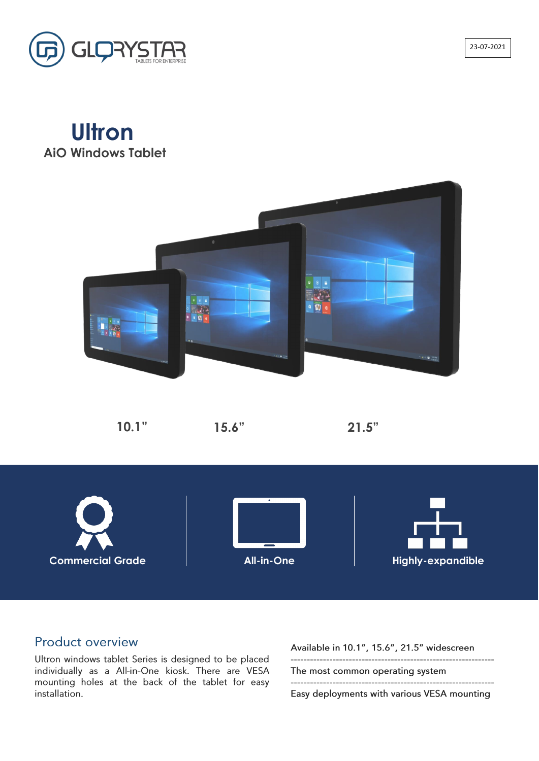# **Ultron AiO Windows Tablet**





### **Product overview**

Ultron windows tablet Series is designed to be placed individually as a All-in-One kiosk. There are VESA mounting holes at the back of the tablet for easy installation.

Available in 10.1", 15.6", 21.5" widescreen

The most common operating system

Easy deployments with various VESA mounting

**10.1" 15.6" 21.5"**



23-07-2021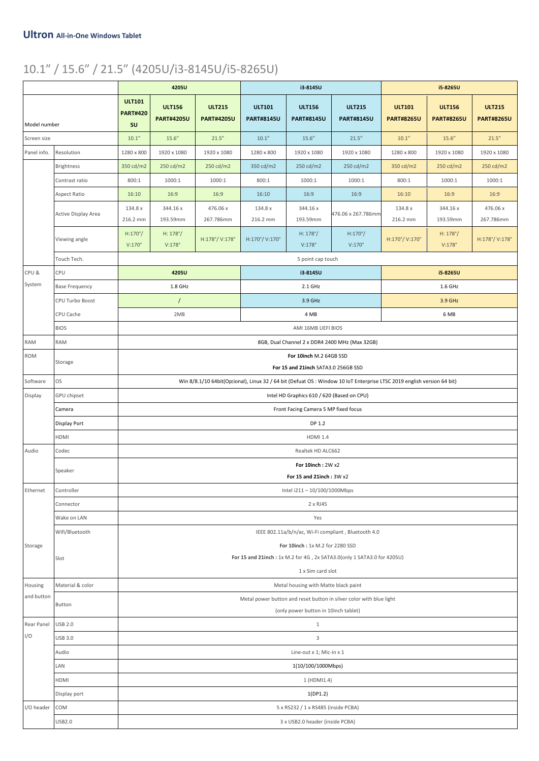## 10.1" / 15.6" / 21.5" (4205U/i3-8145U/i5-8265U)

|                                                                             |                       | 4205U                                                                                       |                                                                                                                        |                                    | i3-8145U                           |                                      |                                                                     | i5-8265U                           |                                    |                                    |  |
|-----------------------------------------------------------------------------|-----------------------|---------------------------------------------------------------------------------------------|------------------------------------------------------------------------------------------------------------------------|------------------------------------|------------------------------------|--------------------------------------|---------------------------------------------------------------------|------------------------------------|------------------------------------|------------------------------------|--|
| Model number                                                                |                       | <b>ULT101</b><br><b>PART#420</b><br>5U                                                      | <b>ULT156</b><br><b>PART#4205U</b>                                                                                     | <b>ULT215</b><br><b>PART#4205U</b> | <b>ULT101</b><br><b>PART#8145U</b> | <b>ULT156</b><br><b>PART#8145U</b>   | <b>ULT215</b><br><b>PART#8145U</b>                                  | <b>ULT101</b><br><b>PART#8265U</b> | <b>ULT156</b><br><b>PART#8265U</b> | <b>ULT215</b><br><b>PART#8265U</b> |  |
| Screen size                                                                 |                       | 10.1"                                                                                       | 15.6''                                                                                                                 | 21.5''                             | 10.1"                              | 15.6''                               | 21.5''                                                              | 10.1"                              | 15.6''                             | 21.5''                             |  |
| Panel info.                                                                 | Resolution            | 1280 x 800                                                                                  | 1920 x 1080                                                                                                            | 1920 x 1080                        | 1280 x 800                         | 1920 x 1080                          | 1920 x 1080                                                         | 1280 x 800                         | 1920 x 1080                        | 1920 x 1080                        |  |
|                                                                             | Brightness            | 350 cd/m2                                                                                   | 250 cd/m2                                                                                                              | 250 cd/m2                          | 350 cd/m2                          | 250 cd/m2                            | 250 cd/m2                                                           | 350 cd/m2                          | 250 cd/m2                          | 250 cd/m2                          |  |
|                                                                             | Contrast ratio        | 800:1                                                                                       | 1000:1                                                                                                                 | 1000:1                             | 800:1                              | 1000:1                               | 1000:1                                                              | 800:1                              | 1000:1                             | 1000:1                             |  |
|                                                                             | Aspect Ratio          | 16:10                                                                                       | 16:9                                                                                                                   | 16:9                               | 16:10                              | 16:9                                 | 16:9                                                                | 16:10                              | 16:9                               | 16:9                               |  |
|                                                                             | Active Display Area   | 134.8 x                                                                                     | 344.16 x                                                                                                               | 476.06 x                           | 134.8 x                            | 344.16 x                             |                                                                     | 134.8 x                            | 344.16 x                           | 476.06 x                           |  |
|                                                                             |                       | 216.2 mm                                                                                    | 193.59mm                                                                                                               | 267.786mm                          | 216.2 mm                           | 193.59mm                             | 476.06 x 267.786mm                                                  | 216.2 mm                           | 193.59mm                           | 267.786mm                          |  |
|                                                                             | Viewing angle         | $H:170^{\circ}/$                                                                            | $H: 178^{\circ}/$                                                                                                      | H:178°/V:178°                      | H:170°/V:170°                      | $H: 178^{\circ}/$                    | $H:170^{\circ}/$                                                    | H:170°/V:170°                      | $H: 178^{\circ}/$                  | H:178°/V:178°                      |  |
|                                                                             |                       | $V:170^\circ$                                                                               | $V:178^\circ$                                                                                                          |                                    |                                    | $V:178^\circ$                        | $V:170^\circ$                                                       |                                    | $V:178^\circ$                      |                                    |  |
|                                                                             | Touch Tech.           |                                                                                             |                                                                                                                        |                                    |                                    | 5 point cap touch                    |                                                                     |                                    |                                    |                                    |  |
| CPU&                                                                        | CPU                   |                                                                                             | 4205U                                                                                                                  |                                    |                                    | i3-8145U                             |                                                                     |                                    | i5-8265U                           |                                    |  |
| System                                                                      | <b>Base Frequency</b> | 1.8 GHz                                                                                     |                                                                                                                        |                                    |                                    | $2.1$ GHz                            |                                                                     |                                    | $1.6$ GHz                          |                                    |  |
|                                                                             | CPU Turbo Boost       | $\prime$                                                                                    |                                                                                                                        |                                    |                                    | 3.9 GHz                              |                                                                     | 3.9 GHz                            |                                    |                                    |  |
|                                                                             | CPU Cache             |                                                                                             | 2MB                                                                                                                    |                                    |                                    | 4 MB                                 |                                                                     |                                    | 6 MB                               |                                    |  |
|                                                                             | <b>BIOS</b>           |                                                                                             |                                                                                                                        |                                    |                                    | AMI 16MB UEFI BIOS                   |                                                                     |                                    |                                    |                                    |  |
| <b>RAM</b>                                                                  | <b>RAM</b>            |                                                                                             |                                                                                                                        |                                    |                                    |                                      | 8GB, Dual Channel 2 x DDR4 2400 MHz (Max 32GB)                      |                                    |                                    |                                    |  |
| <b>ROM</b>                                                                  | Storage               |                                                                                             | For 10inch M.2 64GB SSD<br>For 15 and 21inch SATA3.0 256GB SSD                                                         |                                    |                                    |                                      |                                                                     |                                    |                                    |                                    |  |
| Software                                                                    | <b>OS</b>             |                                                                                             | Win 8/8.1/10 64bit(Optional), Linux 32 / 64 bit (Defuat OS: Window 10 IoT Enterprise LTSC 2019 english version 64 bit) |                                    |                                    |                                      |                                                                     |                                    |                                    |                                    |  |
| Intel HD Graphics 610 / 620 (Based on CPU)<br>Display<br><b>GPU chipset</b> |                       |                                                                                             |                                                                                                                        |                                    |                                    |                                      |                                                                     |                                    |                                    |                                    |  |
|                                                                             | Camera                | Front Facing Camera 5 MP fixed focus                                                        |                                                                                                                        |                                    |                                    |                                      |                                                                     |                                    |                                    |                                    |  |
|                                                                             | Display Port          | DP 1.2                                                                                      |                                                                                                                        |                                    |                                    |                                      |                                                                     |                                    |                                    |                                    |  |
|                                                                             | <b>HDMI</b>           | <b>HDMI 1.4</b>                                                                             |                                                                                                                        |                                    |                                    |                                      |                                                                     |                                    |                                    |                                    |  |
| Audio                                                                       | Codec                 | Realtek HD ALC662                                                                           |                                                                                                                        |                                    |                                    |                                      |                                                                     |                                    |                                    |                                    |  |
|                                                                             | Speaker               | For 10inch: 2W x2                                                                           |                                                                                                                        |                                    |                                    |                                      |                                                                     |                                    |                                    |                                    |  |
|                                                                             |                       | For 15 and 21inch: 3W x2                                                                    |                                                                                                                        |                                    |                                    |                                      |                                                                     |                                    |                                    |                                    |  |
| Ethernet                                                                    | Controller            | Intel i211 - 10/100/1000Mbps                                                                |                                                                                                                        |                                    |                                    |                                      |                                                                     |                                    |                                    |                                    |  |
|                                                                             | Connector             | 2 x RJ45                                                                                    |                                                                                                                        |                                    |                                    |                                      |                                                                     |                                    |                                    |                                    |  |
|                                                                             | Wake on LAN           | Yes                                                                                         |                                                                                                                        |                                    |                                    |                                      |                                                                     |                                    |                                    |                                    |  |
| IEEE 802.11a/b/n/ac, Wi-Fi compliant, Bluetooth 4.0<br>Wifi/Bluetooth       |                       |                                                                                             |                                                                                                                        |                                    |                                    |                                      |                                                                     |                                    |                                    |                                    |  |
| Storage                                                                     |                       | For 10inch: 1x M.2 for 2280 SSD                                                             |                                                                                                                        |                                    |                                    |                                      |                                                                     |                                    |                                    |                                    |  |
|                                                                             | Slot                  | For 15 and 21inch: 1x M.2 for 4G, 2x SATA3.0(only 1 SATA3.0 for 4205U)<br>1 x Sim card slot |                                                                                                                        |                                    |                                    |                                      |                                                                     |                                    |                                    |                                    |  |
| Housing                                                                     | Material & color      |                                                                                             |                                                                                                                        |                                    |                                    | Metal housing with Matte black paint |                                                                     |                                    |                                    |                                    |  |
| and button                                                                  |                       |                                                                                             |                                                                                                                        |                                    |                                    |                                      | Metal power button and reset button in silver color with blue light |                                    |                                    |                                    |  |
|                                                                             | Button                |                                                                                             |                                                                                                                        |                                    |                                    | (only power button in 10inch tablet) |                                                                     |                                    |                                    |                                    |  |
| <b>Rear Panel</b>                                                           | <b>USB 2.0</b>        |                                                                                             |                                                                                                                        |                                    |                                    | $\mathbf{1}$                         |                                                                     |                                    |                                    |                                    |  |
| I/O                                                                         | <b>USB 3.0</b>        |                                                                                             |                                                                                                                        |                                    |                                    | 3                                    |                                                                     |                                    |                                    |                                    |  |
|                                                                             | Audio                 | Line-out x 1; Mic-in x 1                                                                    |                                                                                                                        |                                    |                                    |                                      |                                                                     |                                    |                                    |                                    |  |
|                                                                             | LAN                   | 1(10/100/1000Mbps)                                                                          |                                                                                                                        |                                    |                                    |                                      |                                                                     |                                    |                                    |                                    |  |
|                                                                             | HDMI                  | 1 (HDMI1.4)                                                                                 |                                                                                                                        |                                    |                                    |                                      |                                                                     |                                    |                                    |                                    |  |
|                                                                             | Display port          | 1(DP1.2)                                                                                    |                                                                                                                        |                                    |                                    |                                      |                                                                     |                                    |                                    |                                    |  |
| I/O header                                                                  | COM                   | 5 x RS232 / 1 x RS485 (inside PCBA)                                                         |                                                                                                                        |                                    |                                    |                                      |                                                                     |                                    |                                    |                                    |  |
|                                                                             | <b>USB2.0</b>         | 3 x USB2.0 header (inside PCBA)                                                             |                                                                                                                        |                                    |                                    |                                      |                                                                     |                                    |                                    |                                    |  |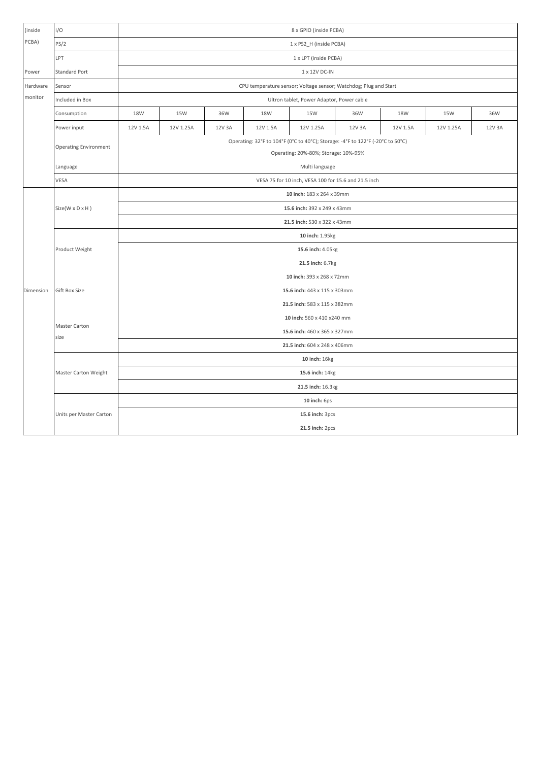| (inside   | I/O                          | 8 x GPIO (inside PCBA)                                                                                                 |           |        |          |           |        |          |           |        |
|-----------|------------------------------|------------------------------------------------------------------------------------------------------------------------|-----------|--------|----------|-----------|--------|----------|-----------|--------|
| PCBA)     | PS/2                         | 1 x PS2_H (inside PCBA)                                                                                                |           |        |          |           |        |          |           |        |
|           | LPT                          | 1 x LPT (inside PCBA)                                                                                                  |           |        |          |           |        |          |           |        |
| Power     | <b>Standard Port</b>         | 1 x 12V DC-IN                                                                                                          |           |        |          |           |        |          |           |        |
| Hardware  | Sensor                       | CPU temperature sensor; Voltage sensor; Watchdog; Plug and Start                                                       |           |        |          |           |        |          |           |        |
| monitor   | Included in Box              | Ultron tablet, Power Adaptor, Power cable                                                                              |           |        |          |           |        |          |           |        |
|           | Consumption                  | 18W                                                                                                                    | 15W       | 36W    | 18W      | 15W       | 36W    | 18W      | 15W       | 36W    |
|           | Power input                  | 12V 1.5A                                                                                                               | 12V 1.25A | 12V 3A | 12V 1.5A | 12V 1.25A | 12V 3A | 12V 1.5A | 12V 1.25A | 12V 3A |
|           | <b>Operating Environment</b> | Operating: 32°F to 104°F (0°C to 40°C); Storage: -4°F to 122°F (-20°C to 50°C)<br>Operating: 20%-80%; Storage: 10%-95% |           |        |          |           |        |          |           |        |
|           | Language                     | Multi language                                                                                                         |           |        |          |           |        |          |           |        |
|           | VESA                         | VESA 75 for 10 inch, VESA 100 for 15.6 and 21.5 inch                                                                   |           |        |          |           |        |          |           |        |
|           |                              | 10 inch: 183 x 264 x 39mm                                                                                              |           |        |          |           |        |          |           |        |
|           | $Size(W \times D \times H)$  | 15.6 inch: 392 x 249 x 43mm                                                                                            |           |        |          |           |        |          |           |        |
|           |                              | 21.5 inch: 530 x 322 x 43mm                                                                                            |           |        |          |           |        |          |           |        |
|           | Product Weight               | 10 inch: 1.95kg                                                                                                        |           |        |          |           |        |          |           |        |
|           |                              | 15.6 inch: 4.05kg                                                                                                      |           |        |          |           |        |          |           |        |
|           |                              | 21.5 inch: 6.7kg                                                                                                       |           |        |          |           |        |          |           |        |
|           | Gift Box Size                | 10 inch: 393 x 268 x 72mm                                                                                              |           |        |          |           |        |          |           |        |
| Dimension |                              | 15.6 inch: 443 x 115 x 303mm                                                                                           |           |        |          |           |        |          |           |        |
|           |                              | 21.5 inch: 583 x 115 x 382mm                                                                                           |           |        |          |           |        |          |           |        |
|           | Master Carton                | 10 inch: 560 x 410 x240 mm                                                                                             |           |        |          |           |        |          |           |        |
|           | size                         | 15.6 inch: 460 x 365 x 327mm                                                                                           |           |        |          |           |        |          |           |        |
|           |                              | 21.5 inch: 604 x 248 x 406mm                                                                                           |           |        |          |           |        |          |           |        |
|           |                              | 10 inch: 16kg                                                                                                          |           |        |          |           |        |          |           |        |
|           | Master Carton Weight         | 15.6 inch: 14kg                                                                                                        |           |        |          |           |        |          |           |        |
|           |                              | 21.5 inch: 16.3kg                                                                                                      |           |        |          |           |        |          |           |        |
|           |                              | 10 inch: 6ps                                                                                                           |           |        |          |           |        |          |           |        |
|           | Units per Master Carton      | 15.6 inch: 3pcs                                                                                                        |           |        |          |           |        |          |           |        |
|           |                              | 21.5 inch: 2pcs                                                                                                        |           |        |          |           |        |          |           |        |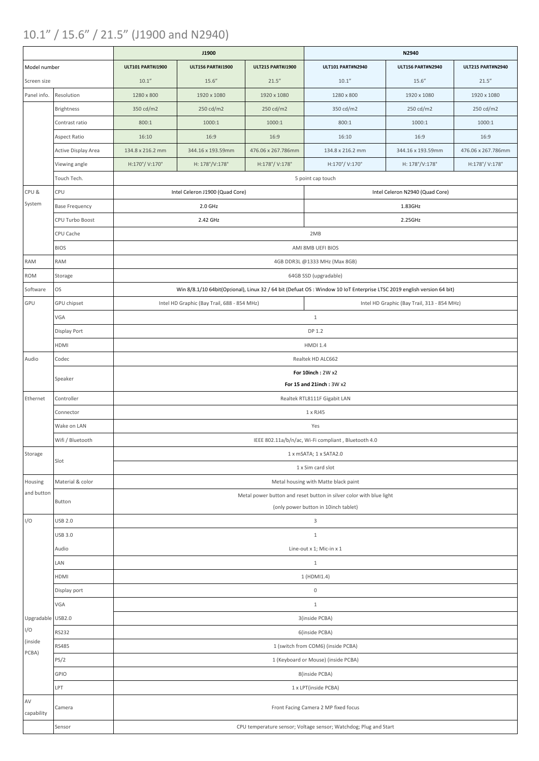### 10.1" / 15.6" / 21.5" (J1900 and N2940)

|                                                                            |                       |                                                                           | J1900                                       |                          | N2940                                                                                                                  |                                             |                          |  |  |  |  |
|----------------------------------------------------------------------------|-----------------------|---------------------------------------------------------------------------|---------------------------------------------|--------------------------|------------------------------------------------------------------------------------------------------------------------|---------------------------------------------|--------------------------|--|--|--|--|
| Model number                                                               |                       | <b>ULT101 PART#J1900</b>                                                  | <b>ULT156 PART#J1900</b>                    | <b>ULT215 PART#J1900</b> | <b>ULT101 PART#N2940</b>                                                                                               | <b>ULT156 PART#N2940</b>                    | <b>ULT215 PART#N2940</b> |  |  |  |  |
| Screen size                                                                |                       | 10.1"                                                                     | 15.6''                                      | 21.5''                   | 10.1"                                                                                                                  | 15.6''                                      | 21.5''                   |  |  |  |  |
| Panel info.                                                                | Resolution            | 1280 x 800                                                                | 1920 x 1080                                 | 1920 x 1080              | 1280 x 800                                                                                                             | 1920 x 1080                                 | 1920 x 1080              |  |  |  |  |
|                                                                            | <b>Brightness</b>     | 350 cd/m2                                                                 | 250 cd/m2                                   | 250 cd/m2                | 350 cd/m2                                                                                                              | 250 cd/m2                                   | 250 cd/m2                |  |  |  |  |
|                                                                            | Contrast ratio        | 800:1                                                                     | 1000:1                                      | 1000:1                   | 800:1                                                                                                                  | 1000:1                                      | 1000:1                   |  |  |  |  |
|                                                                            | <b>Aspect Ratio</b>   | 16:10                                                                     | 16:9                                        | 16:9                     | 16:10                                                                                                                  | 16:9                                        | 16:9                     |  |  |  |  |
|                                                                            | Active Display Area   | 134.8 x 216.2 mm                                                          | 344.16 x 193.59mm                           | 476.06 x 267.786mm       | 134.8 x 216.2 mm                                                                                                       | 344.16 x 193.59mm                           | 476.06 x 267.786mm       |  |  |  |  |
|                                                                            | Viewing angle         | H:170°/V:170°                                                             | H: 178°/V:178°                              | H:178°/V:178°            | H:170°/V:170°                                                                                                          | H: 178°/V:178°                              | H:178°/V:178°            |  |  |  |  |
|                                                                            | Touch Tech.           |                                                                           |                                             |                          | 5 point cap touch                                                                                                      |                                             |                          |  |  |  |  |
| CPU &                                                                      | CPU                   |                                                                           | Intel Celeron J1900 (Quad Core)             |                          |                                                                                                                        | Intel Celeron N2940 (Quad Core)             |                          |  |  |  |  |
| System                                                                     | <b>Base Frequency</b> |                                                                           | $2.0$ GHz                                   |                          | 1.83GHz                                                                                                                |                                             |                          |  |  |  |  |
|                                                                            | CPU Turbo Boost       |                                                                           | 2.42 GHz                                    |                          | 2.25GHz                                                                                                                |                                             |                          |  |  |  |  |
|                                                                            | CPU Cache             | 2MB                                                                       |                                             |                          |                                                                                                                        |                                             |                          |  |  |  |  |
|                                                                            | <b>BIOS</b>           | AMI 8MB UEFI BIOS                                                         |                                             |                          |                                                                                                                        |                                             |                          |  |  |  |  |
| <b>RAM</b>                                                                 | <b>RAM</b>            |                                                                           |                                             |                          | 4GB DDR3L @1333 MHz (Max 8GB)                                                                                          |                                             |                          |  |  |  |  |
| <b>ROM</b>                                                                 | Storage               |                                                                           |                                             |                          | 64GB SSD (upgradable)                                                                                                  |                                             |                          |  |  |  |  |
| Software                                                                   | OS                    |                                                                           |                                             |                          | Win 8/8.1/10 64bit(Optional), Linux 32 / 64 bit (Defuat OS: Window 10 IoT Enterprise LTSC 2019 english version 64 bit) |                                             |                          |  |  |  |  |
| GPU                                                                        | GPU chipset           |                                                                           | Intel HD Graphic (Bay Trail, 688 - 854 MHz) |                          |                                                                                                                        | Intel HD Graphic (Bay Trail, 313 - 854 MHz) |                          |  |  |  |  |
|                                                                            | VGA                   |                                                                           |                                             |                          | $\mathbf{1}$                                                                                                           |                                             |                          |  |  |  |  |
|                                                                            | Display Port          |                                                                           |                                             |                          | DP 1.2                                                                                                                 |                                             |                          |  |  |  |  |
|                                                                            | HDMI                  |                                                                           |                                             |                          | <b>HMDI 1.4</b>                                                                                                        |                                             |                          |  |  |  |  |
| Audio                                                                      | Codec                 | Realtek HD ALC662                                                         |                                             |                          |                                                                                                                        |                                             |                          |  |  |  |  |
|                                                                            |                       |                                                                           |                                             |                          | For 10inch: 2W x2                                                                                                      |                                             |                          |  |  |  |  |
|                                                                            | Speaker               | For 15 and 21inch: 3W x2                                                  |                                             |                          |                                                                                                                        |                                             |                          |  |  |  |  |
| Ethernet                                                                   | Controller            | Realtek RTL8111F Gigabit LAN                                              |                                             |                          |                                                                                                                        |                                             |                          |  |  |  |  |
|                                                                            | Connector             | $1 \times R$ J $45$                                                       |                                             |                          |                                                                                                                        |                                             |                          |  |  |  |  |
|                                                                            | Wake on LAN           |                                                                           |                                             |                          | Yes                                                                                                                    |                                             |                          |  |  |  |  |
|                                                                            | Wifi / Bluetooth      |                                                                           |                                             |                          | IEEE 802.11a/b/n/ac, Wi-Fi compliant, Bluetooth 4.0                                                                    |                                             |                          |  |  |  |  |
| Storage                                                                    | Slot                  | 1 x mSATA; 1 x SATA2.0                                                    |                                             |                          |                                                                                                                        |                                             |                          |  |  |  |  |
|                                                                            |                       | 1 x Sim card slot                                                         |                                             |                          |                                                                                                                        |                                             |                          |  |  |  |  |
| Housing                                                                    | Material & color      | Metal housing with Matte black paint                                      |                                             |                          |                                                                                                                        |                                             |                          |  |  |  |  |
| and button                                                                 | Button                | Metal power button and reset button in silver color with blue light       |                                             |                          |                                                                                                                        |                                             |                          |  |  |  |  |
|                                                                            |                       | (only power button in 10inch tablet)                                      |                                             |                          |                                                                                                                        |                                             |                          |  |  |  |  |
| I/O                                                                        | <b>USB 2.0</b>        | $\mathsf{3}$                                                              |                                             |                          |                                                                                                                        |                                             |                          |  |  |  |  |
|                                                                            | <b>USB 3.0</b>        | $\mathbf{1}$                                                              |                                             |                          |                                                                                                                        |                                             |                          |  |  |  |  |
|                                                                            | Audio                 | Line-out x 1; Mic-in x 1                                                  |                                             |                          |                                                                                                                        |                                             |                          |  |  |  |  |
|                                                                            | LAN                   | $\mathbf{1}$                                                              |                                             |                          |                                                                                                                        |                                             |                          |  |  |  |  |
|                                                                            | HDMI                  | 1 (HDMI1.4)                                                               |                                             |                          |                                                                                                                        |                                             |                          |  |  |  |  |
|                                                                            | Display port<br>VGA   | $\mathsf{O}\xspace$                                                       |                                             |                          |                                                                                                                        |                                             |                          |  |  |  |  |
| Upgradable USB2.0                                                          |                       | $\mathbf{1}$                                                              |                                             |                          |                                                                                                                        |                                             |                          |  |  |  |  |
| I/O                                                                        | <b>RS232</b>          | 3(inside PCBA)                                                            |                                             |                          |                                                                                                                        |                                             |                          |  |  |  |  |
| (inside                                                                    | <b>RS485</b>          | 6(inside PCBA)                                                            |                                             |                          |                                                                                                                        |                                             |                          |  |  |  |  |
| PCBA)                                                                      | PS/2                  | 1 (switch from COM6) (inside PCBA)<br>1 (Keyboard or Mouse) (inside PCBA) |                                             |                          |                                                                                                                        |                                             |                          |  |  |  |  |
|                                                                            | GPIO                  | 8(inside PCBA)                                                            |                                             |                          |                                                                                                                        |                                             |                          |  |  |  |  |
|                                                                            | LPT                   | 1 x LPT(inside PCBA)                                                      |                                             |                          |                                                                                                                        |                                             |                          |  |  |  |  |
| $\mathsf{AV}$                                                              |                       |                                                                           |                                             |                          |                                                                                                                        |                                             |                          |  |  |  |  |
| capability                                                                 | Camera                |                                                                           |                                             |                          | Front Facing Camera 2 MP fixed focus                                                                                   |                                             |                          |  |  |  |  |
| CPU temperature sensor; Voltage sensor; Watchdog; Plug and Start<br>Sensor |                       |                                                                           |                                             |                          |                                                                                                                        |                                             |                          |  |  |  |  |